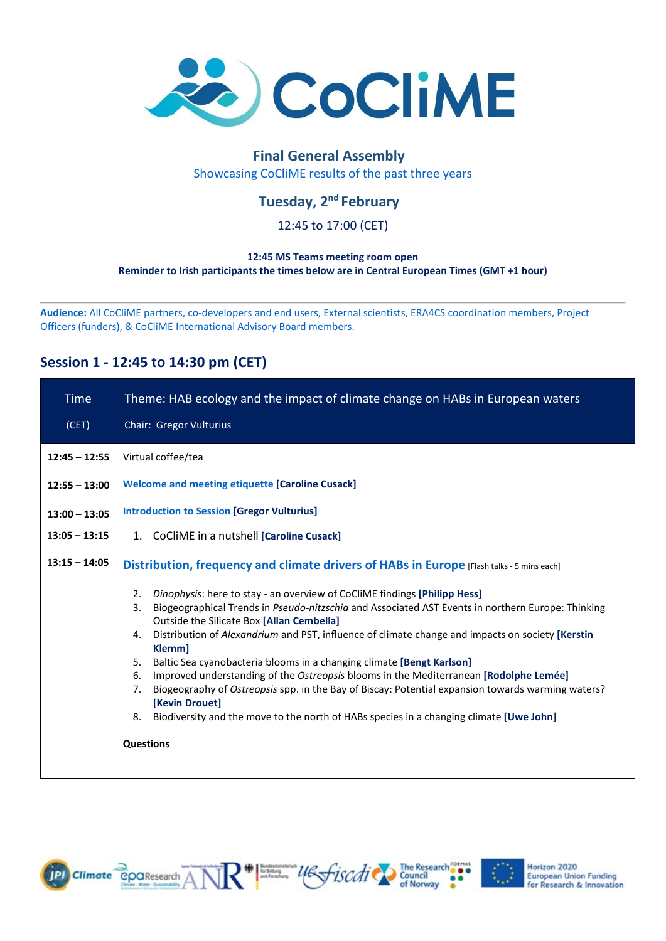

# **Final General Assembly**

Showcasing CoCliME results of the past three years

## **Tuesday, 2nd February**

### 12:45 to 17:00 (CET)

#### **12:45 MS Teams meeting room open Reminder to Irish participants the times below are in Central European Times (GMT +1 hour)**

**Audience:** All CoCliME partners, co-developers and end users, External scientists, ERA4CS coordination members, Project Officers (funders), & CoCliME International Advisory Board members.

### **Session 1 - 12:45 to 14:30 pm (CET)**

| <b>Time</b>     | Theme: HAB ecology and the impact of climate change on HABs in European waters                                                                                                                                                                                                                                                                                                                                                                                                                                                                                                                                                                                                                                                                                                              |
|-----------------|---------------------------------------------------------------------------------------------------------------------------------------------------------------------------------------------------------------------------------------------------------------------------------------------------------------------------------------------------------------------------------------------------------------------------------------------------------------------------------------------------------------------------------------------------------------------------------------------------------------------------------------------------------------------------------------------------------------------------------------------------------------------------------------------|
| (CET)           | Chair: Gregor Vulturius                                                                                                                                                                                                                                                                                                                                                                                                                                                                                                                                                                                                                                                                                                                                                                     |
| $12:45 - 12:55$ | Virtual coffee/tea                                                                                                                                                                                                                                                                                                                                                                                                                                                                                                                                                                                                                                                                                                                                                                          |
| $12:55 - 13:00$ | <b>Welcome and meeting etiquette [Caroline Cusack]</b>                                                                                                                                                                                                                                                                                                                                                                                                                                                                                                                                                                                                                                                                                                                                      |
| $13:00 - 13:05$ | <b>Introduction to Session [Gregor Vulturius]</b>                                                                                                                                                                                                                                                                                                                                                                                                                                                                                                                                                                                                                                                                                                                                           |
| $13:05 - 13:15$ | 1. CoCliME in a nutshell [Caroline Cusack]                                                                                                                                                                                                                                                                                                                                                                                                                                                                                                                                                                                                                                                                                                                                                  |
| $13:15 - 14:05$ | Distribution, frequency and climate drivers of HABs in Europe [Flash talks - 5 mins each]                                                                                                                                                                                                                                                                                                                                                                                                                                                                                                                                                                                                                                                                                                   |
|                 | Dinophysis: here to stay - an overview of CoCliME findings [Philipp Hess]<br>2.<br>Biogeographical Trends in Pseudo-nitzschia and Associated AST Events in northern Europe: Thinking<br>3.<br>Outside the Silicate Box [Allan Cembella]<br>Distribution of Alexandrium and PST, influence of climate change and impacts on society [Kerstin<br>4.<br>Klemm]<br>Baltic Sea cyanobacteria blooms in a changing climate [Bengt Karlson]<br>5.<br>Improved understanding of the Ostreopsis blooms in the Mediterranean [Rodolphe Lemée]<br>6.<br>Biogeography of Ostreopsis spp. in the Bay of Biscay: Potential expansion towards warming waters?<br>7.<br>[Kevin Drouet]<br>Biodiversity and the move to the north of HABs species in a changing climate [Uwe John]<br>8.<br><b>Questions</b> |

R<sup>#</sup> substitution use of *iscoli* council